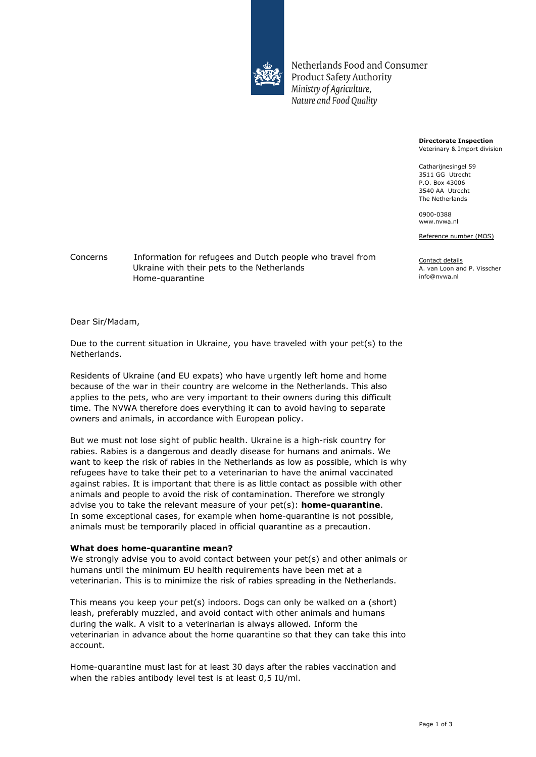

Netherlands Food and Consumer **Product Safety Authority** Ministry of Agriculture, Nature and Food Quality

> **Directorate Inspection** Veterinary & Import division

Catharijnesingel 59 3511 GG Utrecht P.O. Box 43006 3540 AA Utrecht The Netherlands

0900-0388 www.nvwa.nl

Reference number (MOS)

Contact details A. van Loon and P. Visscher info@nvwa.nl

Concerns Information for refugees and Dutch people who travel from Ukraine with their pets to the Netherlands Home-quarantine

Dear Sir/Madam,

Due to the current situation in Ukraine, you have traveled with your pet(s) to the Netherlands.

Residents of Ukraine (and EU expats) who have urgently left home and home because of the war in their country are welcome in the Netherlands. This also applies to the pets, who are very important to their owners during this difficult time. The NVWA therefore does everything it can to avoid having to separate owners and animals, in accordance with European policy.

But we must not lose sight of public health. Ukraine is a high-risk country for rabies. Rabies is a dangerous and deadly disease for humans and animals. We want to keep the risk of rabies in the Netherlands as low as possible, which is why refugees have to take their pet to a veterinarian to have the animal vaccinated against rabies. It is important that there is as little contact as possible with other animals and people to avoid the risk of contamination. Therefore we strongly advise you to take the relevant measure of your pet(s): **home-quarantine**. In some exceptional cases, for example when home-quarantine is not possible, animals must be temporarily placed in official quarantine as a precaution.

### **What does home-quarantine mean?**

We strongly advise you to avoid contact between your pet(s) and other animals or humans until the minimum EU health requirements have been met at a veterinarian. This is to minimize the risk of rabies spreading in the Netherlands.

This means you keep your pet(s) indoors. Dogs can only be walked on a (short) leash, preferably muzzled, and avoid contact with other animals and humans during the walk. A visit to a veterinarian is always allowed. Inform the veterinarian in advance about the home quarantine so that they can take this into account.

Home-quarantine must last for at least 30 days after the rabies vaccination and when the rabies antibody level test is at least 0,5 IU/ml.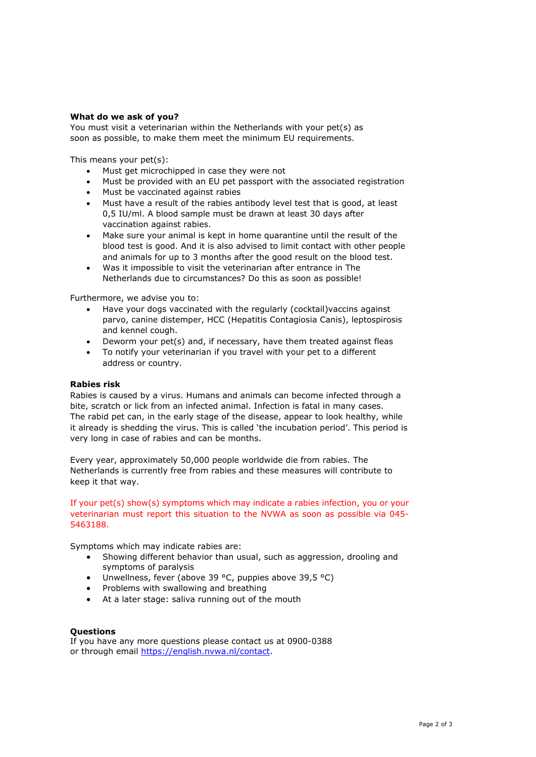## **What do we ask of you?**

You must visit a veterinarian within the Netherlands with your pet(s) as soon as possible, to make them meet the minimum EU requirements.

This means your pet(s):

- Must get microchipped in case they were not
- Must be provided with an EU pet passport with the associated registration
- Must be vaccinated against rabies
- Must have a result of the rabies antibody level test that is good, at least 0,5 IU/ml. A blood sample must be drawn at least 30 days after vaccination against rabies.
- Make sure your animal is kept in home quarantine until the result of the blood test is good. And it is also advised to limit contact with other people and animals for up to 3 months after the good result on the blood test.
- Was it impossible to visit the veterinarian after entrance in The Netherlands due to circumstances? Do this as soon as possible!

Furthermore, we advise you to:

- Have your dogs vaccinated with the regularly (cocktail)vaccins against parvo, canine distemper, HCC (Hepatitis Contagiosia Canis), leptospirosis and kennel cough.
- Deworm your pet(s) and, if necessary, have them treated against fleas
- To notify your veterinarian if you travel with your pet to a different address or country.

### **Rabies risk**

Rabies is caused by a virus. Humans and animals can become infected through a bite, scratch or lick from an infected animal. Infection is fatal in many cases. The rabid pet can, in the early stage of the disease, appear to look healthy, while it already is shedding the virus. This is called 'the incubation period'. This period is very long in case of rabies and can be months.

Every year, approximately 50,000 people worldwide die from rabies. The Netherlands is currently free from rabies and these measures will contribute to keep it that way.

### If your pet(s) show(s) symptoms which may indicate a rabies infection, you or your veterinarian must report this situation to the NVWA as soon as possible via 045- 5463188.

Symptoms which may indicate rabies are:

- Showing different behavior than usual, such as aggression, drooling and symptoms of paralysis
- Unwellness, fever (above 39 °C, puppies above 39,5 °C)
- Problems with swallowing and breathing
- At a later stage: saliva running out of the mouth

# **Questions**

If you have any more questions please contact us at 0900-0388 or through email [https://english.nvwa.nl/contact.](https://english.nvwa.nl/contact)